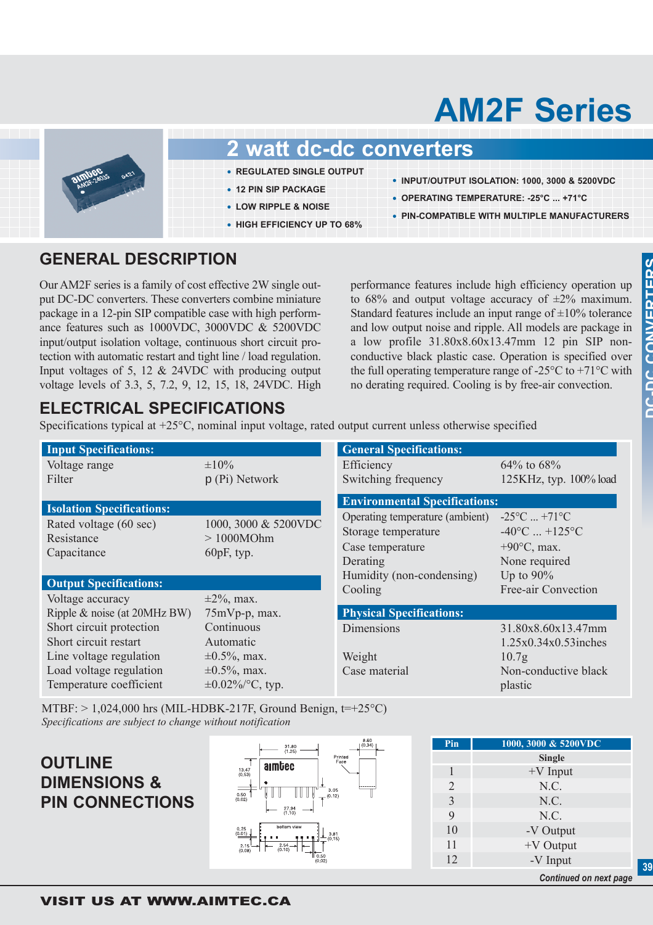# **AM2F Series**



#### **2 watt dc-dc converters**

- **• REGULATED SINGLE OUTPUT**
- **• 12 PIN SIP PACKAGE**
- **• LOW RIPPLE & NOISE**
- **• HIGH EFFICIENCY UP TO 68%**
- **• INPUT/OUTPUT ISOLATION: 1000, 3000 & 5200VDC**
- **• OPERATING TEMPERATURE: -25°C ... +71°C**
- **• PIN-COMPATIBLE WITH MULTIPLE MANUFACTURERS**

#### **GENERAL DESCRIPTION**

Our AM2F series is a family of cost effective 2W single output DC-DC converters. These converters combine miniature package in a 12-pin SIP compatible case with high performance features such as 1000VDC, 3000VDC & 5200VDC input/output isolation voltage, continuous short circuit protection with automatic restart and tight line / load regulation. Input voltages of 5, 12 & 24VDC with producing output voltage levels of 3.3, 5, 7.2, 9, 12, 15, 18, 24VDC. High

performance features include high efficiency operation up to 68% and output voltage accuracy of  $\pm 2\%$  maximum. Standard features include an input range of  $\pm 10\%$  tolerance and low output noise and ripple. All models are package in a low profile 31.80x8.60x13.47mm 12 pin SIP nonconductive black plastic case. Operation is specified over the full operating temperature range of -25 $\degree$ C to +71 $\degree$ C with no derating required. Cooling is by free-air convection.

### **ELECTRICAL SPECIFICATIONS**

Specifications typical at +25°C, nominal input voltage, rated output current unless otherwise specified

| <b>Input Specifications:</b>                        |                                                    | <b>General Specifications:</b>                                                         |                                                                                                               |  |
|-----------------------------------------------------|----------------------------------------------------|----------------------------------------------------------------------------------------|---------------------------------------------------------------------------------------------------------------|--|
| Voltage range<br>Filter                             | $\pm 10\%$<br>$p(P_i)$ Network                     | Efficiency<br>Switching frequency                                                      | 64% to 68%<br>125KHz, typ. 100% load                                                                          |  |
| <b>Isolation Specifications:</b>                    |                                                    | <b>Environmental Specifications:</b>                                                   |                                                                                                               |  |
| Rated voltage (60 sec)<br>Resistance<br>Capacitance | 1000, 3000 & 5200VDC<br>>1000MOhm<br>$60pF$ , typ. | Operating temperature (ambient)<br>Storage temperature<br>Case temperature<br>Derating | $-25^{\circ}$ C $+71^{\circ}$ C<br>$-40^{\circ}$ C $+125^{\circ}$ C<br>$+90^{\circ}$ C, max.<br>None required |  |
| <b>Output Specifications:</b>                       |                                                    | Humidity (non-condensing)<br>Cooling                                                   | Up to $90\%$<br>Free-air Convection                                                                           |  |
| Voltage accuracy                                    | $\pm 2\%$ , max.                                   |                                                                                        |                                                                                                               |  |
| Ripple & noise (at 20MHz BW)                        | $75mVp-p$ , max.                                   | <b>Physical Specifications:</b>                                                        |                                                                                                               |  |
| Short circuit protection<br>Short circuit restart   | Continuous<br>Automatic                            | Dimensions                                                                             | 31.80x8.60x13.47mm<br>$1.25x0.34x0.53$ inches                                                                 |  |
| Line voltage regulation                             | $\pm 0.5\%$ , max.                                 | Weight                                                                                 | 10.7 <sub>g</sub>                                                                                             |  |
| Load voltage regulation<br>Temperature coefficient  | $\pm 0.5\%$ , max.<br>$\pm 0.02\%$ /°C, typ.       | Case material                                                                          | Non-conductive black<br>plastic                                                                               |  |

MTBF:  $> 1,024,000$  hrs (MIL-HDBK-217F, Ground Benign, t=+25°C) *Specifications are subject to change without notification*

#### **OUTLINE DIMENSIONS & PIN CONNECTIONS**



| Pin           | 1000, 3000 & 5200VDC          |  |  |  |  |
|---------------|-------------------------------|--|--|--|--|
|               | <b>Single</b>                 |  |  |  |  |
|               | $+V$ Input                    |  |  |  |  |
| 2             | N.C.                          |  |  |  |  |
| $\mathcal{E}$ | N.C.                          |  |  |  |  |
| 9             | N.C.                          |  |  |  |  |
| 10            | -V Output                     |  |  |  |  |
| 11            | $+V$ Output                   |  |  |  |  |
| 12            | -V Input                      |  |  |  |  |
|               | <b>Continued on next page</b> |  |  |  |  |

**39**